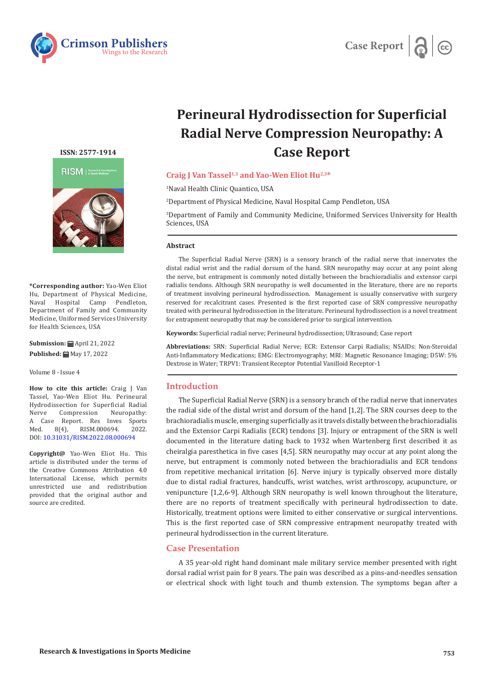



# **Perineural Hydrodissection for Superficial Radial Nerve Compression Neuropathy: A Case Report**

# **Craig J Van Tassel1,3 and Yao-Wen Eliot Hu2,3\***

1 Naval Health Clinic Quantico, USA

2 Department of Physical Medicine, Naval Hospital Camp Pendleton, USA

3 Department of Family and Community Medicine, Uniformed Services University for Health Sciences, USA

#### **Abstract**

The Superficial Radial Nerve (SRN) is a sensory branch of the radial nerve that innervates the distal radial wrist and the radial dorsum of the hand. SRN neuropathy may occur at any point along the nerve, but entrapment is commonly noted distally between the brachioradialis and extensor carpi radialis tendons. Although SRN neuropathy is well documented in the literature, there are no reports of treatment involving perineural hydrodissection. Management is usually conservative with surgery reserved for recalcitrant cases. Presented is the first reported case of SRN compressive neuropathy treated with perineural hydrodissection in the literature. Perineural hydrodissection is a novel treatment for entrapment neuropathy that may be considered prior to surgical intervention.

**Keywords:** Superficial radial nerve; Perineural hydrodissection; Ultrasound; Case report

**Abbreviations:** SRN: Superficial Radial Nerve; ECR: Extensor Carpi Radialis; NSAIDs: Non-Steroidal Anti-Inflammatory Medications; EMG: Electromyography; MRI: Magnetic Resonance Imaging; D5W: 5% Dextrose in Water; TRPV1: Transient Receptor Potential Vanilloid Receptor-1

# **Introduction**

The Superficial Radial Nerve (SRN) is a sensory branch of the radial nerve that innervates the radial side of the distal wrist and dorsum of the hand [1,2]. The SRN courses deep to the brachioradialis muscle, emerging superficially as it travels distally between the brachioradialis and the Extensor Carpi Radialis (ECR) tendons [3]. Injury or entrapment of the SRN is well documented in the literature dating back to 1932 when Wartenberg first described it as cheiralgia paresthetica in five cases [4,5]. SRN neuropathy may occur at any point along the nerve, but entrapment is commonly noted between the brachioradialis and ECR tendons from repetitive mechanical irritation [6]. Nerve injury is typically observed more distally due to distal radial fractures, handcuffs, wrist watches, wrist arthroscopy, acupuncture, or venipuncture [1,2,6-9]. Although SRN neuropathy is well known throughout the literature, there are no reports of treatment specifically with perineural hydrodissection to date. Historically, treatment options were limited to either conservative or surgical interventions. This is the first reported case of SRN compressive entrapment neuropathy treated with perineural hydrodissection in the current literature.

### **Case Presentation**

A 35 year-old right hand dominant male military service member presented with right dorsal radial wrist pain for 8 years. The pain was described as a pins-and-needles sensation or electrical shock with light touch and thumb extension. The symptoms began after a

**ISSN: 2577-1914**



**\*Corresponding author:** Yao-Wen Eliot Hu, Department of Physical Medicine, Naval Hospital Camp Pendleton, Department of Family and Community Medicine, Uniformed Services University for Health Sciences, USA

**Submission:** April 21, 2022 **Published: ■ May 17, 2022** 

Volume 8 - Issue 4

**How to cite this article:** Craig J Van Tassel, Yao-Wen Eliot Hu. Perineural Hydrodissection for Superficial Radial Compression A Case Report. Res Inves Sports<br>Med. 8(4), RISM.000694. 2022. RISM.000694. DOI: [10.31031/RISM.2022.08.000694](http://dx.doi.org/10.31031/RISM.2022.08.000694)

**Copyright@** Yao-Wen Eliot Hu. This article is distributed under the terms of the Creative Commons Attribution 4.0 International License, which permits unrestricted use and redistribution provided that the original author and source are credited.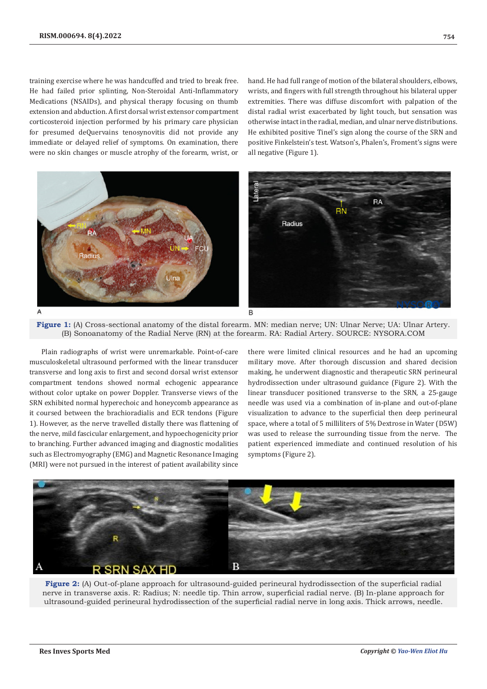training exercise where he was handcuffed and tried to break free. He had failed prior splinting, Non-Steroidal Anti-Inflammatory Medications (NSAIDs), and physical therapy focusing on thumb extension and abduction. A first dorsal wrist extensor compartment corticosteroid injection performed by his primary care physician for presumed deQuervains tenosynovitis did not provide any immediate or delayed relief of symptoms. On examination, there were no skin changes or muscle atrophy of the forearm, wrist, or

hand. He had full range of motion of the bilateral shoulders, elbows, wrists, and fingers with full strength throughout his bilateral upper extremities. There was diffuse discomfort with palpation of the distal radial wrist exacerbated by light touch, but sensation was otherwise intact in the radial, median, and ulnar nerve distributions. He exhibited positive Tinel's sign along the course of the SRN and positive Finkelstein's test. Watson's, Phalen's, Froment's signs were all negative (Figure 1).





Plain radiographs of wrist were unremarkable. Point-of-care musculoskeletal ultrasound performed with the linear transducer transverse and long axis to first and second dorsal wrist extensor compartment tendons showed normal echogenic appearance without color uptake on power Doppler. Transverse views of the SRN exhibited normal hyperechoic and honeycomb appearance as it coursed between the brachioradialis and ECR tendons (Figure 1). However, as the nerve travelled distally there was flattening of the nerve, mild fascicular enlargement, and hypoechogenicity prior to branching. Further advanced imaging and diagnostic modalities such as Electromyography (EMG) and Magnetic Resonance Imaging (MRI) were not pursued in the interest of patient availability since

there were limited clinical resources and he had an upcoming military move. After thorough discussion and shared decision making, he underwent diagnostic and therapeutic SRN perineural hydrodissection under ultrasound guidance (Figure 2). With the linear transducer positioned transverse to the SRN, a 25-gauge needle was used via a combination of in-plane and out-of-plane visualization to advance to the superficial then deep perineural space, where a total of 5 milliliters of 5% Dextrose in Water (D5W) was used to release the surrounding tissue from the nerve. The patient experienced immediate and continued resolution of his symptoms (Figure 2).



**Figure 2:** (A) Out-of-plane approach for ultrasound-guided perineural hydrodissection of the superficial radial nerve in transverse axis. R: Radius; N: needle tip. Thin arrow, superficial radial nerve. (B) In-plane approach for ultrasound-guided perineural hydrodissection of the superficial radial nerve in long axis. Thick arrows, needle.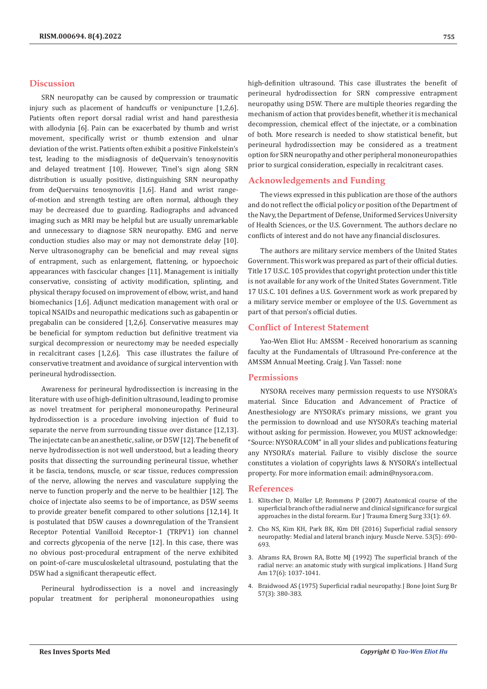# **Discussion**

SRN neuropathy can be caused by compression or traumatic injury such as placement of handcuffs or venipuncture [1,2,6]. Patients often report dorsal radial wrist and hand paresthesia with allodynia [6]. Pain can be exacerbated by thumb and wrist movement, specifically wrist or thumb extension and ulnar deviation of the wrist. Patients often exhibit a positive Finkelstein's test, leading to the misdiagnosis of deQuervain's tenosynovitis and delayed treatment [10]. However, Tinel's sign along SRN distribution is usually positive, distinguishing SRN neuropathy from deQuervains tenosynovitis [1,6]. Hand and wrist rangeof-motion and strength testing are often normal, although they may be decreased due to guarding. Radiographs and advanced imaging such as MRI may be helpful but are usually unremarkable and unnecessary to diagnose SRN neuropathy. EMG and nerve conduction studies also may or may not demonstrate delay [10]. Nerve ultrasonography can be beneficial and may reveal signs of entrapment, such as enlargement, flattening, or hypoechoic appearances with fascicular changes [11]. Management is initially conservative, consisting of activity modification, splinting, and physical therapy focused on improvement of elbow, wrist, and hand biomechanics [1,6]. Adjunct medication management with oral or topical NSAIDs and neuropathic medications such as gabapentin or pregabalin can be considered [1,2,6]. Conservative measures may be beneficial for symptom reduction but definitive treatment via surgical decompression or neurectomy may be needed especially in recalcitrant cases [1,2,6]. This case illustrates the failure of conservative treatment and avoidance of surgical intervention with perineural hydrodissection.

Awareness for perineural hydrodissection is increasing in the literature with use of high-definition ultrasound, leading to promise as novel treatment for peripheral mononeuropathy. Perineural hydrodissection is a procedure involving injection of fluid to separate the nerve from surrounding tissue over distance [12,13]. The injectate can be an anesthetic, saline, or D5W [12]. The benefit of nerve hydrodissection is not well understood, but a leading theory posits that dissecting the surrounding perineural tissue, whether it be fascia, tendons, muscle, or scar tissue, reduces compression of the nerve, allowing the nerves and vasculature supplying the nerve to function properly and the nerve to be healthier [12]. The choice of injectate also seems to be of importance, as D5W seems to provide greater benefit compared to other solutions [12,14]. It is postulated that D5W causes a downregulation of the Transient Receptor Potential Vanilloid Receptor-1 (TRPV1) ion channel and corrects glycopenia of the nerve [12]. In this case, there was no obvious post-procedural entrapment of the nerve exhibited on point-of-care musculoskeletal ultrasound, postulating that the D5W had a significant therapeutic effect.

Perineural hydrodissection is a novel and increasingly popular treatment for peripheral mononeuropathies using high-definition ultrasound. This case illustrates the benefit of perineural hydrodissection for SRN compressive entrapment neuropathy using D5W. There are multiple theories regarding the mechanism of action that provides benefit, whether it is mechanical decompression, chemical effect of the injectate, or a combination of both. More research is needed to show statistical benefit, but perineural hydrodissection may be considered as a treatment option for SRN neuropathy and other peripheral mononeuropathies prior to surgical consideration, especially in recalcitrant cases.

# **Acknowledgements and Funding**

The views expressed in this publication are those of the authors and do not reflect the official policy or position of the Department of the Navy, the Department of Defense, Uniformed Services University of Health Sciences, or the U.S. Government. The authors declare no conflicts of interest and do not have any financial disclosures.

The authors are military service members of the United States Government. This work was prepared as part of their official duties. Title 17 U.S.C. 105 provides that copyright protection under this title is not available for any work of the United States Government. Title 17 U.S.C. 101 defines a U.S. Government work as work prepared by a military service member or employee of the U.S. Government as part of that person's official duties.

## **Conflict of Interest Statement**

Yao-Wen Eliot Hu: AMSSM - Received honorarium as scanning faculty at the Fundamentals of Ultrasound Pre-conference at the AMSSM Annual Meeting. Craig J. Van Tassel: none

## **Permissions**

NYSORA receives many permission requests to use NYSORA's material. Since Education and Advancement of Practice of Anesthesiology are NYSORA's primary missions, we grant you the permission to download and use NYSORA's teaching material without asking for permission. However, you MUST acknowledge: "Source: NYSORA.COM" in all your slides and publications featuring any NYSORA's material. Failure to visibly disclose the source constitutes a violation of copyrights laws & NYSORA's intellectual property. For more information email: admin@nysora.com.

#### **References**

- 1. [Klitscher D, Müller LP, Rommens P \(2007\) Anatomical course of the](https://pubmed.ncbi.nlm.nih.gov/26815977/) [superficial branch of the radial nerve and clinical significance for surgical](https://pubmed.ncbi.nlm.nih.gov/26815977/) [approaches in the distal forearm. Eur J Trauma Emerg Surg 33\(1\): 69.](https://pubmed.ncbi.nlm.nih.gov/26815977/)
- 2. [Cho NS, Kim KH, Park BK, Kim DH \(2016\) Superficial radial sensory](https://pubmed.ncbi.nlm.nih.gov/26453573/) [neuropathy: Medial and lateral branch injury. Muscle Nerve. 53\(5\): 690-](https://pubmed.ncbi.nlm.nih.gov/26453573/) [693.](https://pubmed.ncbi.nlm.nih.gov/26453573/)
- 3. [Abrams RA, Brown RA, Botte MJ \(1992\) The superficial branch of the](https://pubmed.ncbi.nlm.nih.gov/1430933/) [radial nerve: an anatomic study with surgical implications. J Hand Surg](https://pubmed.ncbi.nlm.nih.gov/1430933/) [Am 17\(6\): 1037-1041.](https://pubmed.ncbi.nlm.nih.gov/1430933/)
- 4. [Braidwood AS \(1975\) Superficial radial neuropathy. J Bone Joint Surg Br](https://pubmed.ncbi.nlm.nih.gov/1158953/) [57\(3\): 380-383.](https://pubmed.ncbi.nlm.nih.gov/1158953/)